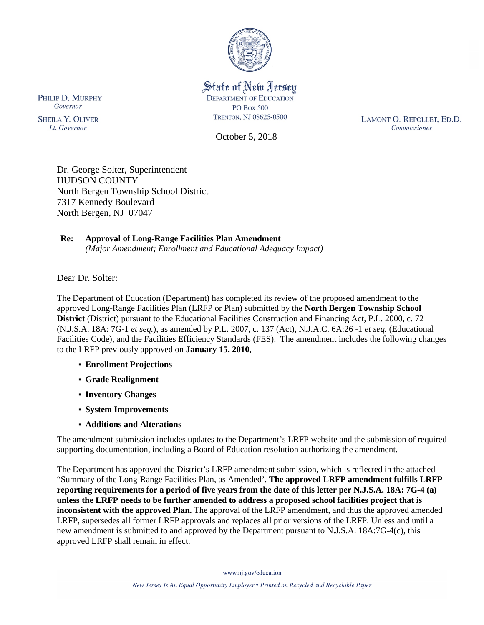

State of New Jersey **DEPARTMENT OF EDUCATION PO Box 500** TRENTON, NJ 08625-0500

October 5, 2018

LAMONT O. REPOLLET, ED.D. Commissioner

Dr. George Solter, Superintendent HUDSON COUNTY North Bergen Township School District 7317 Kennedy Boulevard North Bergen, NJ 07047

## **Re: Approval of Long-Range Facilities Plan Amendment**

*(Major Amendment; Enrollment and Educational Adequacy Impact)*

Dear Dr. Solter:

The Department of Education (Department) has completed its review of the proposed amendment to the approved Long-Range Facilities Plan (LRFP or Plan) submitted by the **North Bergen Township School District** (District) pursuant to the Educational Facilities Construction and Financing Act, P.L. 2000, c. 72 (N.J.S.A. 18A: 7G-1 *et seq.*), as amended by P.L. 2007, c. 137 (Act), N.J.A.C. 6A:26 -1 *et seq.* (Educational Facilities Code), and the Facilities Efficiency Standards (FES). The amendment includes the following changes to the LRFP previously approved on **January 15, 2010**,

- **Enrollment Projections**
- **Grade Realignment**
- **Inventory Changes**
- **System Improvements**
- **Additions and Alterations**

The amendment submission includes updates to the Department's LRFP website and the submission of required supporting documentation, including a Board of Education resolution authorizing the amendment.

The Department has approved the District's LRFP amendment submission, which is reflected in the attached "Summary of the Long-Range Facilities Plan, as Amended'. **The approved LRFP amendment fulfills LRFP reporting requirements for a period of five years from the date of this letter per N.J.S.A. 18A: 7G-4 (a) unless the LRFP needs to be further amended to address a proposed school facilities project that is inconsistent with the approved Plan.** The approval of the LRFP amendment, and thus the approved amended LRFP, supersedes all former LRFP approvals and replaces all prior versions of the LRFP. Unless and until a new amendment is submitted to and approved by the Department pursuant to N.J.S.A. 18A:7G-4(c), this approved LRFP shall remain in effect.

www.nj.gov/education

PHILIP D. MURPHY Governor

**SHEILA Y. OLIVER** Lt. Governor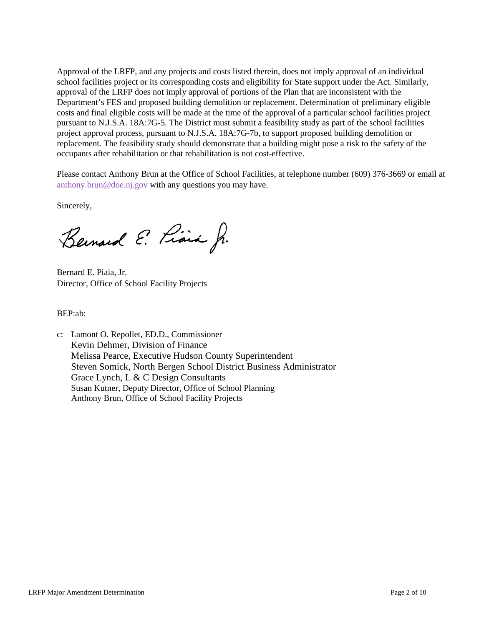Approval of the LRFP, and any projects and costs listed therein, does not imply approval of an individual school facilities project or its corresponding costs and eligibility for State support under the Act. Similarly, approval of the LRFP does not imply approval of portions of the Plan that are inconsistent with the Department's FES and proposed building demolition or replacement. Determination of preliminary eligible costs and final eligible costs will be made at the time of the approval of a particular school facilities project pursuant to N.J.S.A. 18A:7G-5. The District must submit a feasibility study as part of the school facilities project approval process, pursuant to N.J.S.A. 18A:7G-7b, to support proposed building demolition or replacement. The feasibility study should demonstrate that a building might pose a risk to the safety of the occupants after rehabilitation or that rehabilitation is not cost-effective.

Please contact Anthony Brun at the Office of School Facilities, at telephone number (609) 376-3669 or email at [anthony.brun@doe.nj.gov](mailto:anthony.brun@doe.nj.gov) with any questions you may have.

Sincerely,

Bernard E. Piara Jr.

Bernard E. Piaia, Jr. Director, Office of School Facility Projects

BEP:ab:

c: Lamont O. Repollet, ED.D., Commissioner Kevin Dehmer, Division of Finance Melissa Pearce, Executive Hudson County Superintendent Steven Somick, North Bergen School District Business Administrator Grace Lynch, L & C Design Consultants Susan Kutner, Deputy Director, Office of School Planning Anthony Brun, Office of School Facility Projects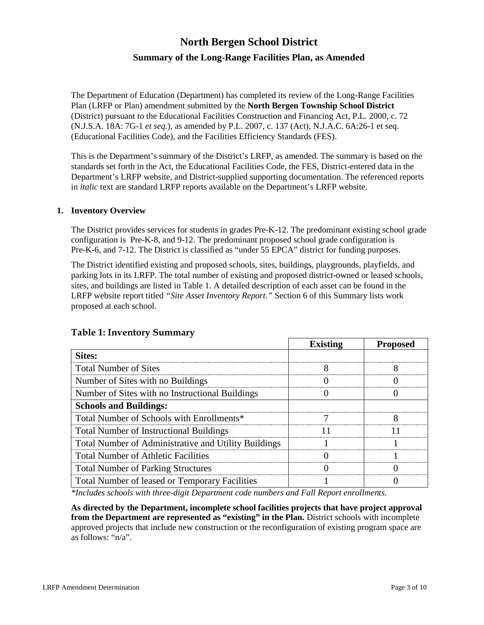# **North Bergen School District Summary of the Long-Range Facilities Plan, as Amended**

The Department of Education (Department) has completed its review of the Long-Range Facilities Plan (LRFP or Plan) amendment submitted by the **North Bergen Township School District** (District) pursuant to the Educational Facilities Construction and Financing Act, P.L. 2000, c. 72 (N.J.S.A. 18A: 7G-1 *et seq.*), as amended by P.L. 2007, c. 137 (Act), N.J.A.C. 6A:26-1 et seq. (Educational Facilities Code), and the Facilities Efficiency Standards (FES).

This is the Department's summary of the District's LRFP, as amended. The summary is based on the standards set forth in the Act, the Educational Facilities Code, the FES, District-entered data in the Department's LRFP website, and District-supplied supporting documentation. The referenced reports in *italic* text are standard LRFP reports available on the Department's LRFP website.

#### **1. Inventory Overview**

The District provides services for students in grades Pre-K-12. The predominant existing school grade configuration is Pre-K-8, and 9-12. The predominant proposed school grade configuration is Pre-K-6, and 7-12. The District is classified as "under 55 EPCA" district for funding purposes.

The District identified existing and proposed schools, sites, buildings, playgrounds, playfields, and parking lots in its LRFP. The total number of existing and proposed district-owned or leased schools, sites, and buildings are listed in Table 1. A detailed description of each asset can be found in the LRFP website report titled *"Site Asset Inventory Report."* Section 6 of this Summary lists work proposed at each school.

|                                                       | <b>Existing</b> | <b>Proposed</b> |
|-------------------------------------------------------|-----------------|-----------------|
| <b>Sites:</b>                                         |                 |                 |
| <b>Total Number of Sites</b>                          |                 |                 |
| Number of Sites with no Buildings                     |                 |                 |
| Number of Sites with no Instructional Buildings       |                 |                 |
| <b>Schools and Buildings:</b>                         |                 |                 |
| Total Number of Schools with Enrollments*             |                 |                 |
| <b>Total Number of Instructional Buildings</b>        |                 |                 |
| Total Number of Administrative and Utility Buildings  |                 |                 |
| <b>Total Number of Athletic Facilities</b>            |                 |                 |
| <b>Total Number of Parking Structures</b>             |                 |                 |
| <b>Total Number of leased or Temporary Facilities</b> |                 |                 |

## **Table 1: Inventory Summary**

*\*Includes schools with three-digit Department code numbers and Fall Report enrollments.*

**As directed by the Department, incomplete school facilities projects that have project approval from the Department are represented as "existing" in the Plan.** District schools with incomplete approved projects that include new construction or the reconfiguration of existing program space are as follows: "n/a".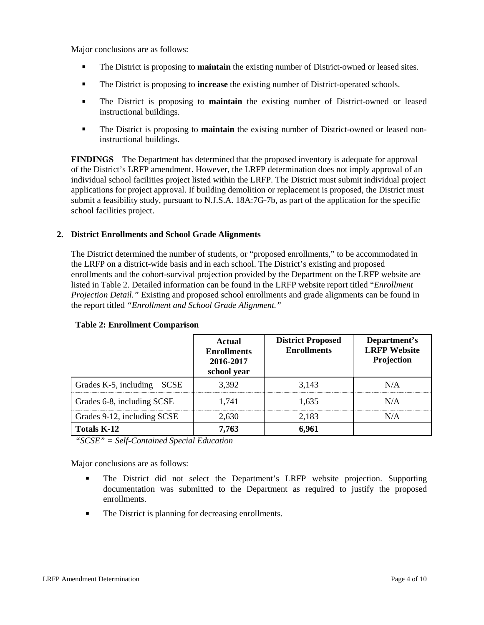Major conclusions are as follows:

- The District is proposing to **maintain** the existing number of District-owned or leased sites.
- The District is proposing to **increase** the existing number of District-operated schools.
- The District is proposing to **maintain** the existing number of District-owned or leased instructional buildings.
- The District is proposing to **maintain** the existing number of District-owned or leased noninstructional buildings.

**FINDINGS** The Department has determined that the proposed inventory is adequate for approval of the District's LRFP amendment. However, the LRFP determination does not imply approval of an individual school facilities project listed within the LRFP. The District must submit individual project applications for project approval. If building demolition or replacement is proposed, the District must submit a feasibility study, pursuant to N.J.S.A. 18A:7G-7b, as part of the application for the specific school facilities project.

#### **2. District Enrollments and School Grade Alignments**

The District determined the number of students, or "proposed enrollments," to be accommodated in the LRFP on a district-wide basis and in each school. The District's existing and proposed enrollments and the cohort-survival projection provided by the Department on the LRFP website are listed in Table 2. Detailed information can be found in the LRFP website report titled "*Enrollment Projection Detail."* Existing and proposed school enrollments and grade alignments can be found in the report titled *"Enrollment and School Grade Alignment."*

|                                      | Actual<br><b>Enrollments</b><br>2016-2017<br>school year | <b>District Proposed</b><br><b>Enrollments</b> | Department's<br><b>LRFP</b> Website<br>Projection |
|--------------------------------------|----------------------------------------------------------|------------------------------------------------|---------------------------------------------------|
| Grades K-5, including<br><b>SCSE</b> | 3,392                                                    | 3,143                                          | N/A                                               |
| Grades 6-8, including SCSE           | 1.741                                                    | 1.635                                          | N/A                                               |
| Grades 9-12, including SCSE          | 2,630                                                    | 2.183                                          | N/A                                               |
| <b>Totals K-12</b>                   | 7.763                                                    | 6,961                                          |                                                   |

**Table 2: Enrollment Comparison**

*"SCSE" = Self-Contained Special Education*

Major conclusions are as follows:

- The District did not select the Department's LRFP website projection. Supporting documentation was submitted to the Department as required to justify the proposed enrollments.
- The District is planning for decreasing enrollments.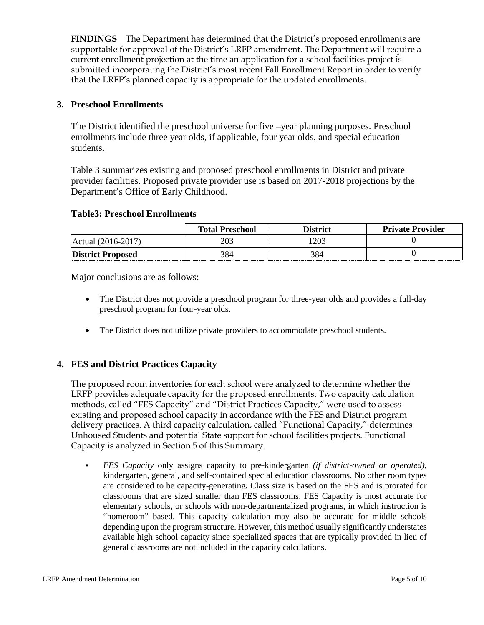**FINDINGS** The Department has determined that the District's proposed enrollments are supportable for approval of the District's LRFP amendment. The Department will require a current enrollment projection at the time an application for a school facilities project is submitted incorporating the District's most recent Fall Enrollment Report in order to verify that the LRFP's planned capacity is appropriate for the updated enrollments.

## **3. Preschool Enrollments**

The District identified the preschool universe for five –year planning purposes. Preschool enrollments include three year olds, if applicable, four year olds, and special education students.

Table 3 summarizes existing and proposed preschool enrollments in District and private provider facilities. Proposed private provider use is based on 2017-2018 projections by the Department's Office of Early Childhood.

#### **Table3: Preschool Enrollments**

|                           | <b>Total Preschool</b> | District | <b>Private Provider</b> |
|---------------------------|------------------------|----------|-------------------------|
| $(2016 - 2017)$<br>Actual | ∠UJ                    |          |                         |
| <b>District Proposed</b>  | 384                    | 384      |                         |

Major conclusions are as follows:

- The District does not provide a preschool program for three-year olds and provides a full-day preschool program for four-year olds.
- The District does not utilize private providers to accommodate preschool students.

# **4. FES and District Practices Capacity**

The proposed room inventories for each school were analyzed to determine whether the LRFP provides adequate capacity for the proposed enrollments. Two capacity calculation methods, called "FES Capacity" and "District Practices Capacity," were used to assess existing and proposed school capacity in accordance with the FES and District program delivery practices. A third capacity calculation, called "Functional Capacity," determines Unhoused Students and potential State support for school facilities projects. Functional Capacity is analyzed in Section 5 of this Summary.

 *FES Capacity* only assigns capacity to pre-kindergarten *(if district-owned or operated),* kindergarten, general, and self-contained special education classrooms. No other room types are considered to be capacity-generating**.** Class size is based on the FES and is prorated for classrooms that are sized smaller than FES classrooms. FES Capacity is most accurate for elementary schools, or schools with non-departmentalized programs, in which instruction is "homeroom" based. This capacity calculation may also be accurate for middle schools depending upon the program structure. However, this method usually significantly understates available high school capacity since specialized spaces that are typically provided in lieu of general classrooms are not included in the capacity calculations.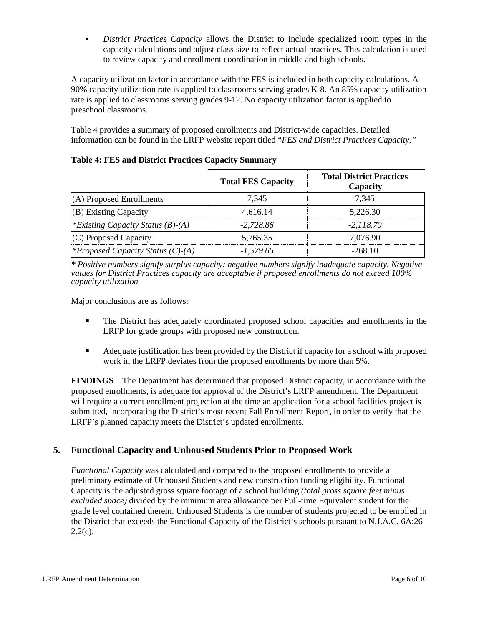*District Practices Capacity* allows the District to include specialized room types in the capacity calculations and adjust class size to reflect actual practices. This calculation is used to review capacity and enrollment coordination in middle and high schools.

A capacity utilization factor in accordance with the FES is included in both capacity calculations. A 90% capacity utilization rate is applied to classrooms serving grades K-8. An 85% capacity utilization rate is applied to classrooms serving grades 9-12. No capacity utilization factor is applied to preschool classrooms.

Table 4 provides a summary of proposed enrollments and District-wide capacities. Detailed information can be found in the LRFP website report titled "*FES and District Practices Capacity."*

|                                          | <b>Total FES Capacity</b> | <b>Total District Practices</b><br>Capacity |
|------------------------------------------|---------------------------|---------------------------------------------|
| (A) Proposed Enrollments                 | 7.345                     | 7.345                                       |
| (B) Existing Capacity                    | 4.616.14                  | 5.226.30                                    |
| *Existing Capacity Status $(B)$ - $(A)$  | $-2.728.86$               | $-2.118.70$                                 |
| (C) Proposed Capacity                    | 5.765.35                  | 7.076.90                                    |
| <i>*Proposed Capacity Status (C)-(A)</i> | -1.579.65                 | -268.10                                     |

#### **Table 4: FES and District Practices Capacity Summary**

*\* Positive numbers signify surplus capacity; negative numbers signify inadequate capacity. Negative values for District Practices capacity are acceptable if proposed enrollments do not exceed 100% capacity utilization.*

Major conclusions are as follows:

- The District has adequately coordinated proposed school capacities and enrollments in the LRFP for grade groups with proposed new construction.
- Adequate justification has been provided by the District if capacity for a school with proposed work in the LRFP deviates from the proposed enrollments by more than 5%.

**FINDINGS**The Department has determined that proposed District capacity, in accordance with the proposed enrollments, is adequate for approval of the District's LRFP amendment. The Department will require a current enrollment projection at the time an application for a school facilities project is submitted, incorporating the District's most recent Fall Enrollment Report, in order to verify that the LRFP's planned capacity meets the District's updated enrollments.

# **5. Functional Capacity and Unhoused Students Prior to Proposed Work**

*Functional Capacity* was calculated and compared to the proposed enrollments to provide a preliminary estimate of Unhoused Students and new construction funding eligibility. Functional Capacity is the adjusted gross square footage of a school building *(total gross square feet minus excluded space)* divided by the minimum area allowance per Full-time Equivalent student for the grade level contained therein. Unhoused Students is the number of students projected to be enrolled in the District that exceeds the Functional Capacity of the District's schools pursuant to N.J.A.C. 6A:26-  $2.2(c)$ .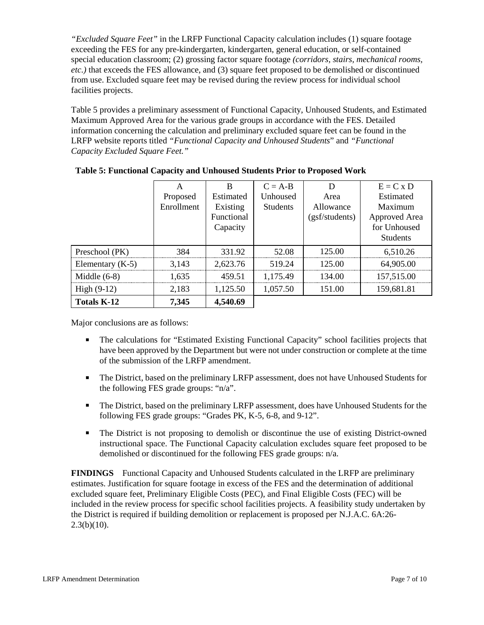*"Excluded Square Feet"* in the LRFP Functional Capacity calculation includes (1) square footage exceeding the FES for any pre-kindergarten, kindergarten, general education, or self-contained special education classroom; (2) grossing factor square footage *(corridors, stairs, mechanical rooms, etc.)* that exceeds the FES allowance, and (3) square feet proposed to be demolished or discontinued from use. Excluded square feet may be revised during the review process for individual school facilities projects.

Table 5 provides a preliminary assessment of Functional Capacity, Unhoused Students, and Estimated Maximum Approved Area for the various grade groups in accordance with the FES. Detailed information concerning the calculation and preliminary excluded square feet can be found in the LRFP website reports titled *"Functional Capacity and Unhoused Students*" and *"Functional Capacity Excluded Square Feet."*

|                    | А          | B          | $C = A-B$       | D              | $E = C x D$     |
|--------------------|------------|------------|-----------------|----------------|-----------------|
|                    | Proposed   | Estimated  | Unhoused        | Area           | Estimated       |
|                    | Enrollment | Existing   | <b>Students</b> | Allowance      | Maximum         |
|                    |            | Functional |                 | (gsf/students) | Approved Area   |
|                    |            | Capacity   |                 |                | for Unhoused    |
|                    |            |            |                 |                | <b>Students</b> |
| Preschool (PK)     | 384        | 331.92     | 52.08           | 125.00         | 6,510.26        |
| Elementary $(K-5)$ | 3,143      | 2,623.76   | 519.24          | 125.00         | 64,905.00       |
| Middle $(6-8)$     | 1,635      | 459.51     | 1,175.49        | 134.00         | 157,515.00      |
| High $(9-12)$      | 2,183      | 1,125.50   | 1,057.50        | 151.00         | 159,681.81      |
| <b>Totals K-12</b> | 7,345      | 4,540.69   |                 |                |                 |

**Table 5: Functional Capacity and Unhoused Students Prior to Proposed Work**

Major conclusions are as follows:

- The calculations for "Estimated Existing Functional Capacity" school facilities projects that have been approved by the Department but were not under construction or complete at the time of the submission of the LRFP amendment.
- The District, based on the preliminary LRFP assessment, does not have Unhoused Students for the following FES grade groups: "n/a".
- The District, based on the preliminary LRFP assessment, does have Unhoused Students for the following FES grade groups: "Grades PK, K-5, 6-8, and 9-12".
- The District is not proposing to demolish or discontinue the use of existing District-owned instructional space. The Functional Capacity calculation excludes square feet proposed to be demolished or discontinued for the following FES grade groups: n/a.

**FINDINGS** Functional Capacity and Unhoused Students calculated in the LRFP are preliminary estimates. Justification for square footage in excess of the FES and the determination of additional excluded square feet, Preliminary Eligible Costs (PEC), and Final Eligible Costs (FEC) will be included in the review process for specific school facilities projects. A feasibility study undertaken by the District is required if building demolition or replacement is proposed per N.J.A.C. 6A:26-  $2.3(b)(10)$ .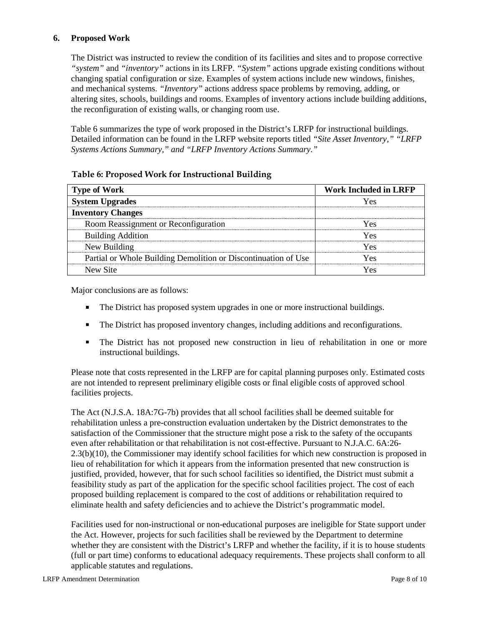#### **6. Proposed Work**

The District was instructed to review the condition of its facilities and sites and to propose corrective *"system"* and *"inventory"* actions in its LRFP. *"System"* actions upgrade existing conditions without changing spatial configuration or size. Examples of system actions include new windows, finishes, and mechanical systems. *"Inventory"* actions address space problems by removing, adding, or altering sites, schools, buildings and rooms. Examples of inventory actions include building additions, the reconfiguration of existing walls, or changing room use.

Table 6 summarizes the type of work proposed in the District's LRFP for instructional buildings. Detailed information can be found in the LRFP website reports titled *"Site Asset Inventory," "LRFP Systems Actions Summary," and "LRFP Inventory Actions Summary."* 

| <b>Type of Work</b>                                            | <b>Work Included in LRFP</b> |
|----------------------------------------------------------------|------------------------------|
| <b>System Upgrades</b>                                         | Yes                          |
| <b>Inventory Changes</b>                                       |                              |
| Room Reassignment or Reconfiguration                           | Yes                          |
| <b>Building Addition</b>                                       | Yes                          |
| New Building                                                   | Yes                          |
| Partial or Whole Building Demolition or Discontinuation of Use | Yes                          |
| New Site                                                       |                              |

#### **Table 6: Proposed Work for Instructional Building**

Major conclusions are as follows:

- The District has proposed system upgrades in one or more instructional buildings.
- The District has proposed inventory changes, including additions and reconfigurations.
- The District has not proposed new construction in lieu of rehabilitation in one or more instructional buildings.

Please note that costs represented in the LRFP are for capital planning purposes only. Estimated costs are not intended to represent preliminary eligible costs or final eligible costs of approved school facilities projects.

The Act (N.J.S.A. 18A:7G-7b) provides that all school facilities shall be deemed suitable for rehabilitation unless a pre-construction evaluation undertaken by the District demonstrates to the satisfaction of the Commissioner that the structure might pose a risk to the safety of the occupants even after rehabilitation or that rehabilitation is not cost-effective. Pursuant to N.J.A.C. 6A:26- 2.3(b)(10), the Commissioner may identify school facilities for which new construction is proposed in lieu of rehabilitation for which it appears from the information presented that new construction is justified, provided, however, that for such school facilities so identified, the District must submit a feasibility study as part of the application for the specific school facilities project. The cost of each proposed building replacement is compared to the cost of additions or rehabilitation required to eliminate health and safety deficiencies and to achieve the District's programmatic model.

Facilities used for non-instructional or non-educational purposes are ineligible for State support under the Act. However, projects for such facilities shall be reviewed by the Department to determine whether they are consistent with the District's LRFP and whether the facility, if it is to house students (full or part time) conforms to educational adequacy requirements. These projects shall conform to all applicable statutes and regulations.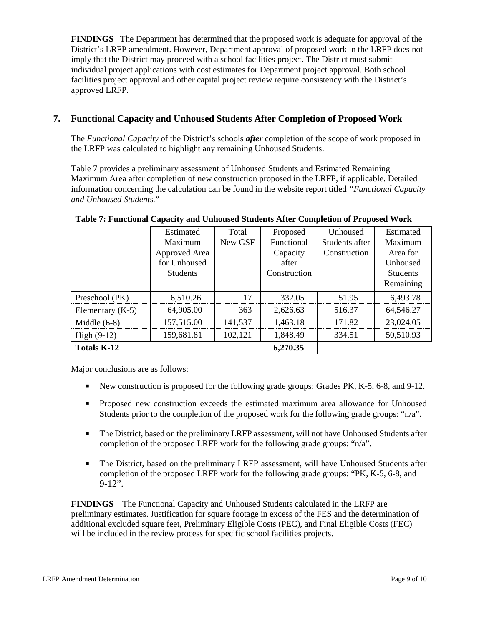**FINDINGS** The Department has determined that the proposed work is adequate for approval of the District's LRFP amendment. However, Department approval of proposed work in the LRFP does not imply that the District may proceed with a school facilities project. The District must submit individual project applications with cost estimates for Department project approval. Both school facilities project approval and other capital project review require consistency with the District's approved LRFP.

# **7. Functional Capacity and Unhoused Students After Completion of Proposed Work**

The *Functional Capacity* of the District's schools *after* completion of the scope of work proposed in the LRFP was calculated to highlight any remaining Unhoused Students.

Table 7 provides a preliminary assessment of Unhoused Students and Estimated Remaining Maximum Area after completion of new construction proposed in the LRFP, if applicable. Detailed information concerning the calculation can be found in the website report titled *"Functional Capacity and Unhoused Students.*"

|                    | Estimated       | Total   | Proposed     | Unhoused       | Estimated       |
|--------------------|-----------------|---------|--------------|----------------|-----------------|
|                    | Maximum         | New GSF | Functional   | Students after | Maximum         |
|                    | Approved Area   |         | Capacity     | Construction   | Area for        |
|                    | for Unhoused    |         | after        |                | Unhoused        |
|                    | <b>Students</b> |         | Construction |                | <b>Students</b> |
|                    |                 |         |              |                | Remaining       |
| Preschool (PK)     | 6,510.26        | 17      | 332.05       | 51.95          | 6,493.78        |
| Elementary $(K-5)$ | 64,905.00       | 363     | 2,626.63     | 516.37         | 64,546.27       |
| Middle $(6-8)$     | 157,515.00      | 141,537 | 1,463.18     | 171.82         | 23,024.05       |
| High $(9-12)$      | 159,681.81      | 102,121 | 1,848.49     | 334.51         | 50,510.93       |
| <b>Totals K-12</b> |                 |         | 6,270.35     |                |                 |

#### **Table 7: Functional Capacity and Unhoused Students After Completion of Proposed Work**

Major conclusions are as follows:

- New construction is proposed for the following grade groups: Grades PK, K-5, 6-8, and 9-12.
- Proposed new construction exceeds the estimated maximum area allowance for Unhoused Students prior to the completion of the proposed work for the following grade groups: "n/a".
- The District, based on the preliminary LRFP assessment, will not have Unhoused Students after completion of the proposed LRFP work for the following grade groups: "n/a".
- The District, based on the preliminary LRFP assessment, will have Unhoused Students after completion of the proposed LRFP work for the following grade groups: "PK, K-5, 6-8, and 9-12".

**FINDINGS** The Functional Capacity and Unhoused Students calculated in the LRFP are preliminary estimates. Justification for square footage in excess of the FES and the determination of additional excluded square feet, Preliminary Eligible Costs (PEC), and Final Eligible Costs (FEC) will be included in the review process for specific school facilities projects.